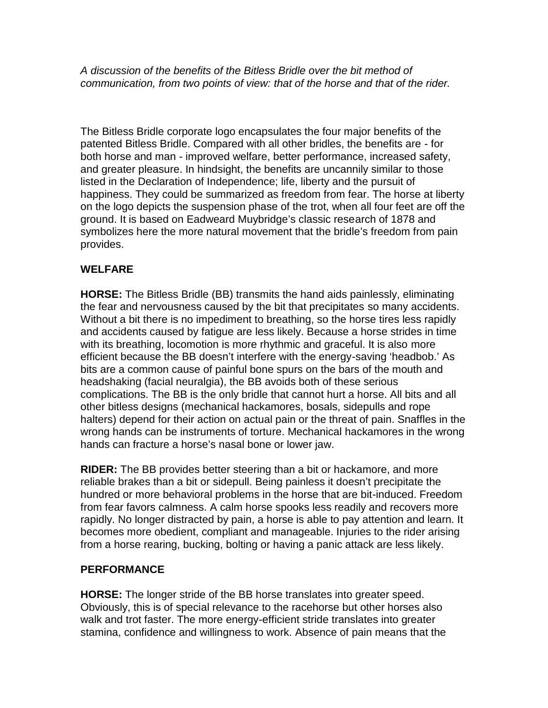*A discussion of the benefits of the Bitless Bridle over the bit method of communication, from two points of view: that of the horse and that of the rider.*

The Bitless Bridle corporate logo encapsulates the four major benefits of the patented Bitless Bridle. Compared with all other bridles, the benefits are - for both horse and man - improved welfare, better performance, increased safety, and greater pleasure. In hindsight, the benefits are uncannily similar to those listed in the Declaration of Independence; life, liberty and the pursuit of happiness. They could be summarized as freedom from fear. The horse at liberty on the logo depicts the suspension phase of the trot, when all four feet are off the ground. It is based on Eadweard Muybridge's classic research of 1878 and symbolizes here the more natural movement that the bridle's freedom from pain provides.

## **WELFARE**

**HORSE:** The Bitless Bridle (BB) transmits the hand aids painlessly, eliminating the fear and nervousness caused by the bit that precipitates so many accidents. Without a bit there is no impediment to breathing, so the horse tires less rapidly and accidents caused by fatigue are less likely. Because a horse strides in time with its breathing, locomotion is more rhythmic and graceful. It is also more efficient because the BB doesn't interfere with the energy-saving 'headbob.' As bits are a common cause of painful bone spurs on the bars of the mouth and headshaking (facial neuralgia), the BB avoids both of these serious complications. The BB is the only bridle that cannot hurt a horse. All bits and all other bitless designs (mechanical hackamores, bosals, sidepulls and rope halters) depend for their action on actual pain or the threat of pain. Snaffles in the wrong hands can be instruments of torture. Mechanical hackamores in the wrong hands can fracture a horse's nasal bone or lower jaw.

**RIDER:** The BB provides better steering than a bit or hackamore, and more reliable brakes than a bit or sidepull. Being painless it doesn't precipitate the hundred or more behavioral problems in the horse that are bit-induced. Freedom from fear favors calmness. A calm horse spooks less readily and recovers more rapidly. No longer distracted by pain, a horse is able to pay attention and learn. It becomes more obedient, compliant and manageable. Injuries to the rider arising from a horse rearing, bucking, bolting or having a panic attack are less likely.

## **PERFORMANCE**

**HORSE:** The longer stride of the BB horse translates into greater speed. Obviously, this is of special relevance to the racehorse but other horses also walk and trot faster. The more energy-efficient stride translates into greater stamina, confidence and willingness to work. Absence of pain means that the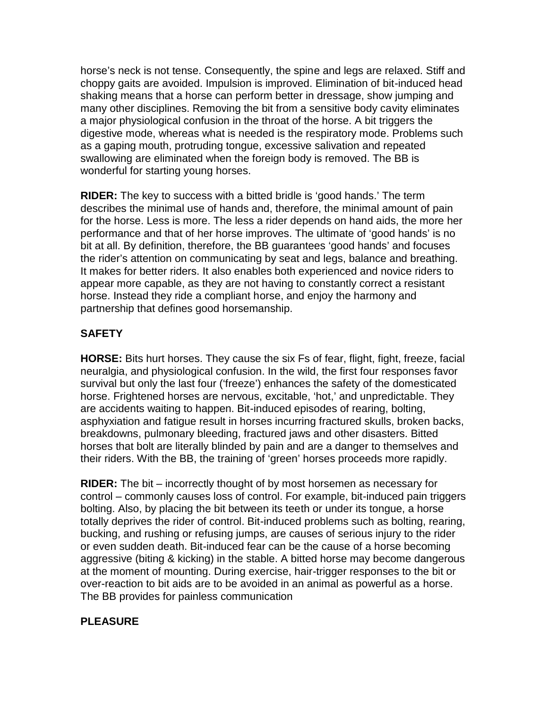horse's neck is not tense. Consequently, the spine and legs are relaxed. Stiff and choppy gaits are avoided. Impulsion is improved. Elimination of bit-induced head shaking means that a horse can perform better in dressage, show jumping and many other disciplines. Removing the bit from a sensitive body cavity eliminates a major physiological confusion in the throat of the horse. A bit triggers the digestive mode, whereas what is needed is the respiratory mode. Problems such as a gaping mouth, protruding tongue, excessive salivation and repeated swallowing are eliminated when the foreign body is removed. The BB is wonderful for starting young horses.

**RIDER:** The key to success with a bitted bridle is 'good hands.' The term describes the minimal use of hands and, therefore, the minimal amount of pain for the horse. Less is more. The less a rider depends on hand aids, the more her performance and that of her horse improves. The ultimate of 'good hands' is no bit at all. By definition, therefore, the BB guarantees 'good hands' and focuses the rider's attention on communicating by seat and legs, balance and breathing. It makes for better riders. It also enables both experienced and novice riders to appear more capable, as they are not having to constantly correct a resistant horse. Instead they ride a compliant horse, and enjoy the harmony and partnership that defines good horsemanship.

## **SAFETY**

**HORSE:** Bits hurt horses. They cause the six Fs of fear, flight, fight, freeze, facial neuralgia, and physiological confusion. In the wild, the first four responses favor survival but only the last four ('freeze') enhances the safety of the domesticated horse. Frightened horses are nervous, excitable, 'hot,' and unpredictable. They are accidents waiting to happen. Bit-induced episodes of rearing, bolting, asphyxiation and fatigue result in horses incurring fractured skulls, broken backs, breakdowns, pulmonary bleeding, fractured jaws and other disasters. Bitted horses that bolt are literally blinded by pain and are a danger to themselves and their riders. With the BB, the training of 'green' horses proceeds more rapidly.

**RIDER:** The bit – incorrectly thought of by most horsemen as necessary for control – commonly causes loss of control. For example, bit-induced pain triggers bolting. Also, by placing the bit between its teeth or under its tongue, a horse totally deprives the rider of control. Bit-induced problems such as bolting, rearing, bucking, and rushing or refusing jumps, are causes of serious injury to the rider or even sudden death. Bit-induced fear can be the cause of a horse becoming aggressive (biting & kicking) in the stable. A bitted horse may become dangerous at the moment of mounting. During exercise, hair-trigger responses to the bit or over-reaction to bit aids are to be avoided in an animal as powerful as a horse. The BB provides for painless communication

## **PLEASURE**